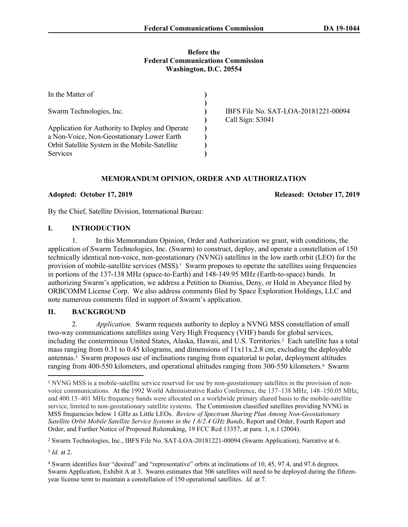#### **Before the Federal Communications Commission Washington, D.C. 20554**

| In the Matter of                                |                                                          |
|-------------------------------------------------|----------------------------------------------------------|
| Swarm Technologies, Inc.                        | IBFS File No. SAT-LOA-20181221-00094<br>Call Sign: S3041 |
| Application for Authority to Deploy and Operate |                                                          |
| a Non-Voice, Non-Geostationary Lower Earth      |                                                          |
| Orbit Satellite System in the Mobile-Satellite  |                                                          |
| Services                                        |                                                          |

### **MEMORANDUM OPINION, ORDER AND AUTHORIZATION**

**Adopted: October 17, 2019 Released: October 17, 2019**

By the Chief, Satellite Division, International Bureau:

#### **I. INTRODUCTION**

1. In this Memorandum Opinion, Order and Authorization we grant, with conditions, the application of Swarm Technologies, Inc. (Swarm) to construct, deploy, and operate a constellation of 150 technically identical non-voice, non-geostationary (NVNG) satellites in the low earth orbit (LEO) for the provision of mobile-satellite services (MSS).<sup>1</sup> Swarm proposes to operate the satellites using frequencies in portions of the 137-138 MHz (space-to-Earth) and 148-149.95 MHz (Earth-to-space) bands. In authorizing Swarm's application, we address a Petition to Dismiss, Deny, or Hold in Abeyance filed by ORBCOMM License Corp. We also address comments filed by Space Exploration Holdings, LLC and note numerous comments filed in support of Swarm's application.

# **II. BACKGROUND**

2. *Application*. Swarm requests authority to deploy a NVNG MSS constellation of small two-way communications satellites using Very High Frequency (VHF) bands for global services, including the conterminous United States, Alaska, Hawaii, and U.S. Territories.<sup>2</sup> Each satellite has a total mass ranging from 0.31 to 0.45 kilograms, and dimensions of  $11x11x.2.8$  cm, excluding the deployable antennas.<sup>3</sup> Swarm proposes use of inclinations ranging from equatorial to polar, deployment altitudes ranging from 400-550 kilometers, and operational altitudes ranging from 300-550 kilometers.<sup>4</sup> Swarm

2 Swarm Technologies, Inc., IBFS File No. SAT-LOA-20181221-00094 (Swarm Application), Narrative at 6.

3 *Id*. at 2.

4 Swarm identifies four "desired" and "representative" orbits at inclinations of 10, 45, 97.4, and 97.6 degrees. Swarm Application, Exhibit A at 3. Swarm estimates that 506 satellites will need to be deployed during the fifteenyear license term to maintain a constellation of 150 operational satellites. *Id.* at 7.

<sup>&</sup>lt;sup>1</sup> NVNG MSS is a mobile-satellite service reserved for use by non-geostationary satellites in the provision of nonvoice communications. At the 1992 World Administrative Radio Conference, the 137–138 MHz, 148–150.05 MHz, and 400.15–401 MHz frequency bands were allocated on a worldwide primary shared basis to the mobile-satellite service, limited to non-geostationary satellite systems. The Commission classified satellites providing NVNG in MSS frequencies below 1 GHz as Little LEOs. *[Review of Spectrum Sharing Plan Among Non-Geostationary](https://1.next.westlaw.com/Link/Document/FullText?findType=Y&serNum=2004710915&pubNum=0001016&originatingDoc=I17d675c5443b11e8a7a8babcb3077f93&refType=CA&originationContext=document&transitionType=DocumentItem&contextData=(sc.Search))  [Satellite Orbit Mobile Satellite Service Systems in the 1.6/2.4 GHz Bands](https://1.next.westlaw.com/Link/Document/FullText?findType=Y&serNum=2004710915&pubNum=0001016&originatingDoc=I17d675c5443b11e8a7a8babcb3077f93&refType=CA&originationContext=document&transitionType=DocumentItem&contextData=(sc.Search))*, Report and Order, Fourth Report and [Order, and Further Notice of Proposed Rulemaking, 19 FCC Rcd 13357, at para. 1, n.1 \(2004\)](https://1.next.westlaw.com/Link/Document/FullText?findType=Y&serNum=2004710915&pubNum=0001016&originatingDoc=I17d675c5443b11e8a7a8babcb3077f93&refType=CA&originationContext=document&transitionType=DocumentItem&contextData=(sc.Search)).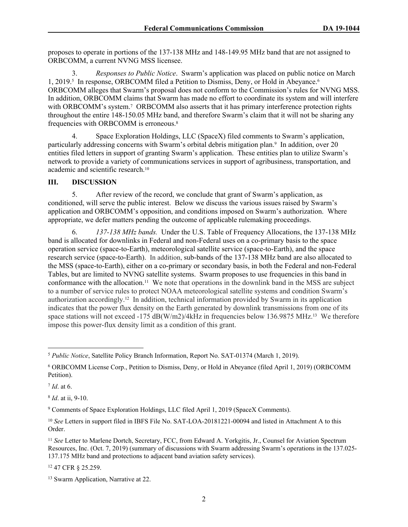proposes to operate in portions of the 137-138 MHz and 148-149.95 MHz band that are not assigned to ORBCOMM, a current NVNG MSS licensee.

3. *Responses to Public Notice*. Swarm's application was placed on public notice on March 1, 2019.<sup>5</sup> In response, ORBCOMM filed a Petition to Dismiss, Deny, or Hold in Abeyance.<sup>6</sup> ORBCOMM alleges that Swarm's proposal does not conform to the Commission's rules for NVNG MSS. In addition, ORBCOMM claims that Swarm has made no effort to coordinate its system and will interfere with ORBCOMM's system.<sup>7</sup> ORBCOMM also asserts that it has primary interference protection rights throughout the entire 148-150.05 MHz band, and therefore Swarm's claim that it will not be sharing any frequencies with ORBCOMM is erroneous.<sup>8</sup>

4. Space Exploration Holdings, LLC (SpaceX) filed comments to Swarm's application, particularly addressing concerns with Swarm's orbital debris mitigation plan.<sup>9</sup> In addition, over 20 entities filed letters in support of granting Swarm's application. These entities plan to utilize Swarm's network to provide a variety of communications services in support of agribusiness, transportation, and academic and scientific research.<sup>10</sup>

### **III. DISCUSSION**

5. After review of the record, we conclude that grant of Swarm's application, as conditioned, will serve the public interest. Below we discuss the various issues raised by Swarm's application and ORBCOMM's opposition, and conditions imposed on Swarm's authorization. Where appropriate, we defer matters pending the outcome of applicable rulemaking proceedings.

6. *137-138 MHz bands.* Under the U.S. Table of Frequency Allocations, the 137-138 MHz band is allocated for downlinks in Federal and non-Federal uses on a co-primary basis to the space operation service (space-to-Earth), meteorological satellite service (space-to-Earth), and the space research service (space-to-Earth). In addition, sub-bands of the 137-138 MHz band are also allocated to the MSS (space-to-Earth), either on a co-primary or secondary basis, in both the Federal and non-Federal Tables, but are limited to NVNG satellite systems. Swarm proposes to use frequencies in this band in conformance with the allocation.11 We note that operations in the downlink band in the MSS are subject to a number of service rules to protect NOAA meteorological satellite systems and condition Swarm's authorization accordingly.<sup>12</sup> In addition, technical information provided by Swarm in its application indicates that the power flux density on the Earth generated by downlink transmissions from one of its space stations will not exceed -175 dB(W/m2)/4kHz in frequencies below 136.9875 MHz.<sup>13</sup> We therefore impose this power-flux density limit as a condition of this grant.

7 *Id*. at 6.

8 *Id*. at ii, 9-10.

<sup>12</sup> 47 CFR § 25.259.

<sup>5</sup> *Public Notice*, Satellite Policy Branch Information, Report No. SAT-01374 (March 1, 2019).

<sup>6</sup> ORBCOMM License Corp., Petition to Dismiss, Deny, or Hold in Abeyance (filed April 1, 2019) (ORBCOMM Petition).

<sup>9</sup> Comments of Space Exploration Holdings, LLC filed April 1, 2019 (SpaceX Comments).

<sup>10</sup> *See* Letters in support filed in IBFS File No. SAT-LOA-20181221-00094 and listed in Attachment A to this Order.

<sup>11</sup> *See* Letter to Marlene Dortch, Secretary, FCC, from Edward A. Yorkgitis, Jr., Counsel for Aviation Spectrum Resources, Inc. (Oct. 7, 2019) (summary of discussions with Swarm addressing Swarm's operations in the 137.025- 137.175 MHz band and protections to adjacent band aviation safety services).

<sup>13</sup> Swarm Application, Narrative at 22.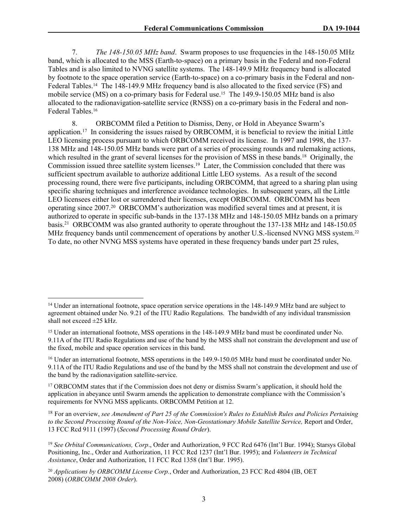7. *The 148-150.05 MHz band*. Swarm proposes to use frequencies in the 148-150.05 MHz band, which is allocated to the MSS (Earth-to-space) on a primary basis in the Federal and non-Federal Tables and is also limited to NVNG satellite systems. The 148-149.9 MHz frequency band is allocated by footnote to the space operation service (Earth-to-space) on a co-primary basis in the Federal and non-Federal Tables.14 The 148-149.9 MHz frequency band is also allocated to the fixed service (FS) and mobile service (MS) on a co-primary basis for Federal use.15 The 149.9-150.05 MHz band is also allocated to the radionavigation-satellite service (RNSS) on a co-primary basis in the Federal and non-Federal Tables.<sup>16</sup>

8. ORBCOMM filed a Petition to Dismiss, Deny, or Hold in Abeyance Swarm's application.<sup>17</sup> In considering the issues raised by ORBCOMM, it is beneficial to review the initial Little LEO licensing process pursuant to which ORBCOMM received its license. In 1997 and 1998, the 137- 138 MHz and 148-150.05 MHz bands were part of a series of processing rounds and rulemaking actions, which resulted in the grant of several licenses for the provision of MSS in these bands.<sup>18</sup> Originally, the Commission issued three satellite system licenses.<sup>19</sup> Later, the Commission concluded that there was sufficient spectrum available to authorize additional Little LEO systems. As a result of the second processing round, there were five participants, including ORBCOMM, that agreed to a sharing plan using specific sharing techniques and interference avoidance technologies. In subsequent years, all the Little LEO licensees either lost or surrendered their licenses, except ORBCOMM. ORBCOMM has been operating since 2007.<sup>20</sup> ORBCOMM's authorization was modified several times and at present, it is authorized to operate in specific sub-bands in the 137-138 MHz and 148-150.05 MHz bands on a primary basis.<sup>21</sup> ORBCOMM was also granted authority to operate throughout the 137-138 MHz and 148-150.05 MHz frequency bands until commencement of operations by another U.S.-licensed NVNG MSS system.<sup>22</sup> To date, no other NVNG MSS systems have operated in these frequency bands under part 25 rules,

<sup>&</sup>lt;sup>14</sup> Under an international footnote, space operation service operations in the 148-149.9 MHz band are subject to agreement obtained under No. 9.21 of the ITU Radio Regulations. The bandwidth of any individual transmission shall not exceed  $\pm 25$  kHz.

<sup>15</sup> Under an international footnote, MSS operations in the 148-149.9 MHz band must be coordinated under No. 9.11A of the ITU Radio Regulations and use of the band by the MSS shall not constrain the development and use of the fixed, mobile and space operation services in this band.

<sup>16</sup> Under an international footnote, MSS operations in the 149.9-150.05 MHz band must be coordinated under No. 9.11A of the ITU Radio Regulations and use of the band by the MSS shall not constrain the development and use of the band by the radionavigation satellite-service.

<sup>&</sup>lt;sup>17</sup> ORBCOMM states that if the Commission does not deny or dismiss Swarm's application, it should hold the application in abeyance until Swarm amends the application to demonstrate compliance with the Commission's requirements for NVNG MSS applicants. ORBCOMM Petition at 12.

<sup>18</sup> For an overview, *see [Amendment of Part 25 of the Commission's Rules to Establish Rules and Policies Pertaining](https://1.next.westlaw.com/Link/Document/FullText?findType=Y&serNum=1997264529&pubNum=0004493&originatingDoc=I17d675c5443b11e8a7a8babcb3077f93&refType=CA&originationContext=document&transitionType=DocumentItem&contextData=(sc.Search))  [to the Second Processing Round of the Non-Voice, Non-Geostationary Mobile Satellite Service,](https://1.next.westlaw.com/Link/Document/FullText?findType=Y&serNum=1997264529&pubNum=0004493&originatingDoc=I17d675c5443b11e8a7a8babcb3077f93&refType=CA&originationContext=document&transitionType=DocumentItem&contextData=(sc.Search))* Report and Order, [13 FCC Rcd 9111 \(1997\)](https://1.next.westlaw.com/Link/Document/FullText?findType=Y&serNum=1997264529&pubNum=0004493&originatingDoc=I17d675c5443b11e8a7a8babcb3077f93&refType=CA&originationContext=document&transitionType=DocumentItem&contextData=(sc.Search)) (*Second Processing Round Order*).

<sup>19</sup> *See Orbital Communications, Corp*., Order and Authorization, 9 FCC Rcd 6476 (Int'l Bur. 1994); Starsys Global Positioning, Inc., Order and Authorization, 11 FCC Rcd 1237 (Int'l Bur. 1995); and *Volunteers in Technical Assistance*, Order and Authorization, 11 FCC Rcd 1358 (Int'l Bur. 1995).

<sup>20</sup> *Applications by ORBCOMM License Corp.*[, Order and Authorization, 23 FCC Rcd 4804 \(IB, OET](https://1.next.westlaw.com/Link/Document/FullText?findType=Y&serNum=2015553869&pubNum=0004493&originatingDoc=I17d675c5443b11e8a7a8babcb3077f93&refType=CA&originationContext=document&transitionType=DocumentItem&contextData=(sc.Search))  [2008\)](https://1.next.westlaw.com/Link/Document/FullText?findType=Y&serNum=2015553869&pubNum=0004493&originatingDoc=I17d675c5443b11e8a7a8babcb3077f93&refType=CA&originationContext=document&transitionType=DocumentItem&contextData=(sc.Search)) (*ORBCOMM 2008 Order*).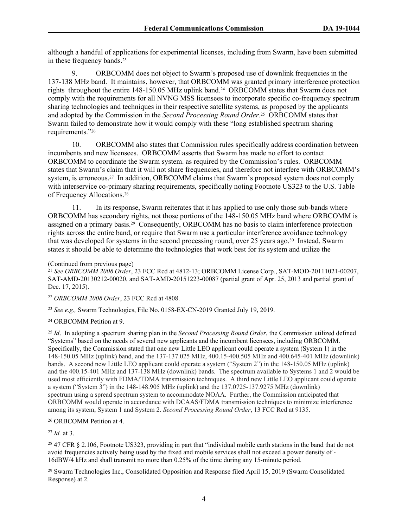although a handful of applications for experimental licenses, including from Swarm, have been submitted in these frequency bands.<sup>23</sup>

9. ORBCOMM does not object to Swarm's proposed use of downlink frequencies in the 137-138 MHz band. It maintains, however, that ORBCOMM was granted primary interference protection rights throughout the entire 148-150.05 MHz uplink band.24 ORBCOMM states that Swarm does not comply with the requirements for all NVNG MSS licensees to incorporate specific co-frequency spectrum sharing technologies and techniques in their respective satellite systems, as proposed by the applicants and adopted by the Commission in the *Second Processing Round Order*. <sup>25</sup> ORBCOMM states that Swarm failed to demonstrate how it would comply with these "long established spectrum sharing requirements."<sup>26</sup>

10. ORBCOMM also states that Commission rules specifically address coordination between incumbents and new licensees. ORBCOMM asserts that Swarm has made no effort to contact ORBCOMM to coordinate the Swarm system. as required by the Commission's rules. ORBCOMM states that Swarm's claim that it will not share frequencies, and therefore not interfere with ORBCOMM's system, is erroneous.<sup>27</sup> In addition, ORBCOMM claims that Swarm's proposed system does not comply with interservice co-primary sharing requirements, specifically noting Footnote US323 to the U.S. Table of Frequency Allocations.<sup>28</sup>

11. In its response, Swarm reiterates that it has applied to use only those sub-bands where ORBCOMM has secondary rights, not those portions of the 148-150.05 MHz band where ORBCOMM is assigned on a primary basis.29 Consequently, ORBCOMM has no basis to claim interference protection rights across the entire band, or require that Swarm use a particular interference avoidance technology that was developed for systems in the second processing round, over 25 years ago.30 Instead, Swarm states it should be able to determine the technologies that work best for its system and utilize the

(Continued from previous page)

<sup>21</sup> *See ORBCOMM 2008 Order*, [23 FCC Rcd at 4812-13](https://1.next.westlaw.com/Link/Document/FullText?findType=Y&serNum=2015553869&pubNum=0004493&originatingDoc=I17d675c5443b11e8a7a8babcb3077f93&refType=CA&fi=co_pp_sp_4493_4812&originationContext=document&transitionType=DocumentItem&contextData=(sc.Search)#co_pp_sp_4493_4812); ORBCOMM License Corp*.*, SAT-MOD-20111021-00207, SAT-AMD-20130212-00020, and SAT-AMD-20151223-00087 (partial grant of Apr. 25, 2013 and partial grant of Dec. 17, 2015).

<sup>22</sup> *ORBCOMM 2008 Order*, 23 FCC Rcd at 4808.

<sup>23</sup> *See e.g.,* Swarm Technologies, File No. 0158-EX-CN-2019 Granted July 19, 2019.

<sup>24</sup> ORBCOMM Petition at 9.

<sup>25</sup> *Id*. In adopting a spectrum sharing plan in the *Second Processing Round Order*, the Commission utilized defined "Systems" based on the needs of several new applicants and the incumbent licensees, including ORBCOMM. Specifically, the Commission stated that one new Little LEO applicant could operate a system (System 1) in the 148-150.05 MHz (uplink) band, and the 137-137.025 MHz, 400.15-400.505 MHz and 400.645-401 MHz (downlink) bands. A second new Little LEO applicant could operate a system ("System 2") in the 148-150.05 MHz (uplink) and the 400.15-401 MHz and 137-138 MHz (downlink) bands. The spectrum available to Systems 1 and 2 would be used most efficiently with FDMA/TDMA transmission techniques. A third new Little LEO applicant could operate a system ("System 3") in the 148-148.905 MHz (uplink) and the 137.0725-137.9275 MHz (downlink) spectrum using a spread spectrum system to accommodate NOAA. Further, the Commission anticipated that ORBCOMM would operate in accordance with DCAAS/FDMA transmission techniques to minimize interference among its system, System 1 and System 2. *Second Processing Round Order*, 13 FCC Rcd at 9135.

<sup>26</sup> ORBCOMM Petition at 4.

<sup>27</sup> *Id.* at 3.

<sup>28</sup> 47 CFR § 2.106, Footnote US323, providing in part that "individual mobile earth stations in the band that do not avoid frequencies actively being used by the fixed and mobile services shall not exceed a power density of - 16dBW/4 kHz and shall transmit no more than 0.25% of the time during any 15-minute period.

<sup>29</sup> Swarm Technologies Inc., Consolidated Opposition and Response filed April 15, 2019 (Swarm Consolidated Response) at 2.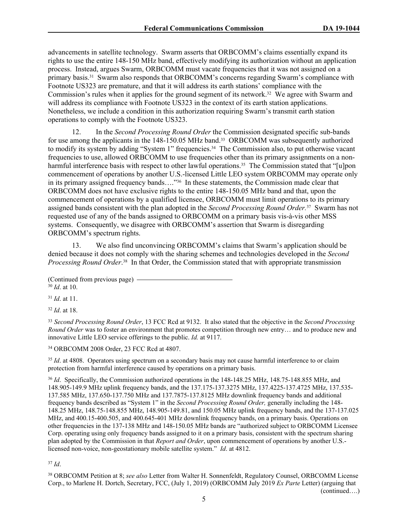advancements in satellite technology. Swarm asserts that ORBCOMM's claims essentially expand its rights to use the entire 148-150 MHz band, effectively modifying its authorization without an application process. Instead, argues Swarm, ORBCOMM must vacate frequencies that it was not assigned on a primary basis.31 Swarm also responds that ORBCOMM's concerns regarding Swarm's compliance with Footnote US323 are premature, and that it will address its earth stations' compliance with the Commission's rules when it applies for the ground segment of its network.32 We agree with Swarm and will address its compliance with Footnote US323 in the context of its earth station applications. Nonetheless, we include a condition in this authorization requiring Swarm's transmit earth station operations to comply with the Footnote US323.

12. In the *Second Processing Round Order* the Commission designated specific sub-bands for use among the applicants in the 148-150.05 MHz band.33 ORBCOMM was subsequently authorized to modify its system by adding "System 1" frequencies.34 The Commission also, to put otherwise vacant frequencies to use, allowed ORBCOMM to use frequencies other than its primary assignments on a nonharmful interference basis with respect to other lawful operations.<sup>35</sup> The Commission stated that "[u]pon commencement of operations by another U.S.-licensed Little LEO system ORBCOMM may operate only in its primary assigned frequency bands…."36 In these statements, the Commission made clear that ORBCOMM does not have exclusive rights to the entire 148-150.05 MHz band and that, upon the commencement of operations by a qualified licensee, ORBCOMM must limit operations to its primary assigned bands consistent with the plan adopted in the *Second Processing Round Order.*37 Swarm has not requested use of any of the bands assigned to ORBCOMM on a primary basis vis-à-vis other MSS systems. Consequently, we disagree with ORBCOMM's assertion that Swarm is disregarding ORBCOMM's spectrum rights.

13. We also find unconvincing ORBCOMM's claims that Swarm's application should be denied because it does not comply with the sharing schemes and technologies developed in the *Second Processing Round Order*. <sup>38</sup> In that Order, the Commission stated that with appropriate transmission

<sup>31</sup> *Id*. at 11.

<sup>32</sup> *Id*. at 18.

<sup>33</sup> *Second Processing Round Order*, 13 FCC Rcd at 9132. It also stated that the objective in the *Second Processing Round Order* was to foster an environment that promotes competition through new entry… and to produce new and innovative Little LEO service offerings to the public. *Id.* at 9117.

<sup>34</sup> ORBCOMM 2008 Order, 23 FCC Rcd at 4807.

<sup>35</sup> *Id.* at 4808. Operators using spectrum on a secondary basis may not cause harmful interference to or claim protection from harmful interference caused by operations on a primary basis.

<sup>36</sup> *Id*. Specifically, the Commission authorized operations in the 148-148.25 MHz, 148.75-148.855 MHz, and 148.905-149.9 MHz uplink frequency bands, and the 137.175-137.3275 MHz, 137.4225-137.4725 MHz, 137.535- 137.585 MHz, 137.650-137.750 MHz and 137.7875-137.8125 MHz downlink frequency bands and additional frequency bands described as "System 1" in the *Second Processing Round Order,* generally including the 148- 148.25 MHz, 148.75-148.855 MHz, 148.905-149.81, and 150.05 MHz uplink frequency bands, and the 137-137.025 MHz, and 400.15-400.505, and 400.645-401 MHz downlink frequency bands, on a primary basis. Operations on other frequencies in the 137-138 MHz and 148-150.05 MHz bands are "authorized subject to ORBCOMM Licensee Corp. operating using only frequency bands assigned to it on a primary basis, consistent with the spectrum sharing plan adopted by the Commission in that *Report and Order*, upon commencement of operations by another U.S. licensed non-voice, non-geostationary mobile satellite system." *Id*. at 4812.

<sup>37</sup> *Id*.

<sup>38</sup> ORBCOMM Petition at 8; *see also* Letter from Walter H. Sonnenfeldt, Regulatory Counsel, ORBCOMM License Corp., to Marlene H. Dortch, Secretary, FCC, (July 1, 2019) (ORBCOMM July 2019 *Ex Parte* Letter) (arguing that (continued….)

<sup>(</sup>Continued from previous page) <sup>30</sup> *Id*. at 10.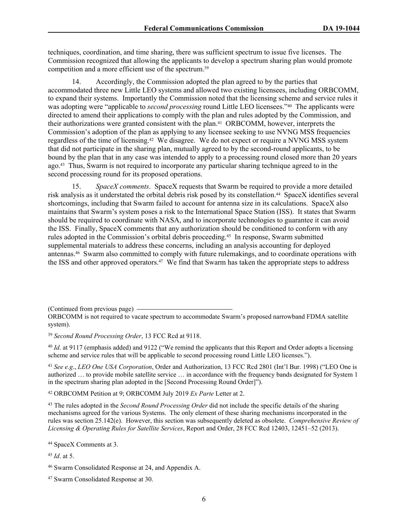techniques, coordination, and time sharing, there was sufficient spectrum to issue five licenses. The Commission recognized that allowing the applicants to develop a spectrum sharing plan would promote competition and a more efficient use of the spectrum.<sup>39</sup>

14. Accordingly, the Commission adopted the plan agreed to by the parties that accommodated three new Little LEO systems and allowed two existing licensees, including ORBCOMM, to expand their systems. Importantly the Commission noted that the licensing scheme and service rules it was adopting were "applicable to *second processing* round Little LEO licensees."<sup>40</sup> The applicants were directed to amend their applications to comply with the plan and rules adopted by the Commission, and their authorizations were granted consistent with the plan.41 ORBCOMM, however, interprets the Commission's adoption of the plan as applying to any licensee seeking to use NVNG MSS frequencies regardless of the time of licensing.42 We disagree. We do not expect or require a NVNG MSS system that did not participate in the sharing plan, mutually agreed to by the second-round applicants, to be bound by the plan that in any case was intended to apply to a processing round closed more than 20 years ago.43 Thus, Swarm is not required to incorporate any particular sharing technique agreed to in the second processing round for its proposed operations.

15. *SpaceX comments*. SpaceX requests that Swarm be required to provide a more detailed risk analysis as it understated the orbital debris risk posed by its constellation.44 SpaceX identifies several shortcomings, including that Swarm failed to account for antenna size in its calculations. SpaceX also maintains that Swarm's system poses a risk to the International Space Station (ISS). It states that Swarm should be required to coordinate with NASA, and to incorporate technologies to guarantee it can avoid the ISS. Finally, SpaceX comments that any authorization should be conditioned to conform with any rules adopted in the Commission's orbital debris proceeding.45 In response, Swarm submitted supplemental materials to address these concerns, including an analysis accounting for deployed antennas.46 Swarm also committed to comply with future rulemakings, and to coordinate operations with the ISS and other approved operators.<sup>47</sup> We find that Swarm has taken the appropriate steps to address

(Continued from previous page)

<sup>40</sup> *Id*. at 9117 (emphasis added) and 9122 ("We remind the applicants that this Report and Order adopts a licensing scheme and service rules that will be applicable to second processing round Little LEO licenses.").

<sup>41</sup> *See e.g*., *LEO One USA Corporation*, Order and Authorization, 13 FCC Rcd 2801 (Int'l Bur. 1998) ("LEO One is authorized … to provide mobile satellite service … in accordance with the frequency bands designated for System 1 in the spectrum sharing plan adopted in the [Second Processing Round Order]").

<sup>42</sup> ORBCOMM Petition at 9; ORBCOMM July 2019 *Ex Parte* Letter at 2.

<sup>43</sup> The rules adopted in the *Second Round Processing Order* did not include the specific details of the sharing mechanisms agreed for the various Systems. The only element of these sharing mechanisms incorporated in the rules was section 25.142(e). However, this section was subsequently deleted as obsolete. *Comprehensive Review of Licensing & Operating Rules for Satellite Services*, Report and Order, 28 FCC Rcd 12403, 12451–52 (2013).

<sup>44</sup> SpaceX Comments at 3.

<sup>45</sup> *Id*. at 5.

ORBCOMM is not required to vacate spectrum to accommodate Swarm's proposed narrowband FDMA satellite system).

<sup>39</sup> *Second Round Processing Order*, 13 FCC Rcd at 9118.

<sup>46</sup> Swarm Consolidated Response at 24, and Appendix A.

<sup>47</sup> Swarm Consolidated Response at 30.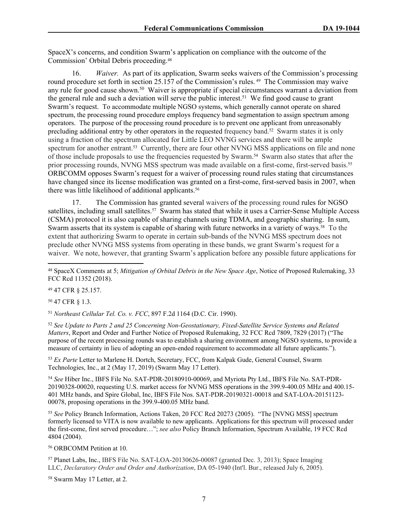SpaceX's concerns, and condition Swarm's application on compliance with the outcome of the Commission' Orbital Debris proceeding.<sup>48</sup>

16. *Waiver.* As part of its application, Swarm seeks waivers of the Commission's processing round procedure set forth in section 25.157 of the Commission's rules. 49 The Commission may waive any rule for good cause shown.<sup>50</sup> Waiver is appropriate if special circumstances warrant a deviation from the general rule and such a deviation will serve the public interest.<sup>51</sup> We find good cause to grant Swarm's request. To accommodate multiple NGSO systems, which generally cannot operate on shared spectrum, the processing round procedure employs frequency band segmentation to assign spectrum among operators. The purpose of the processing round procedure is to prevent one applicant from unreasonably precluding additional entry by other operators in the requested frequency band.<sup>52</sup> Swarm states it is only using a fraction of the spectrum allocated for Little LEO NVNG services and there will be ample spectrum for another entrant.<sup>53</sup> Currently, there are four other NVNG MSS applications on file and none of those include proposals to use the frequencies requested by Swarm.54 Swarm also states that after the prior processing rounds, NVNG MSS spectrum was made available on a first-come, first-served basis.<sup>55</sup> ORBCOMM opposes Swarm's request for a waiver of processing round rules stating that circumstances have changed since its license modification was granted on a first-come, first-served basis in 2007, when there was little likelihood of additional applicants.<sup>56</sup>

17. The Commission has granted several waivers of the processing round rules for NGSO satellites, including small satellites.<sup>57</sup> Swarm has stated that while it uses a Carrier-Sense Multiple Access (CSMA) protocol it is also capable of sharing channels using TDMA, and geographic sharing. In sum, Swarm asserts that its system is capable of sharing with future networks in a variety of ways.<sup>58</sup> To the extent that authorizing Swarm to operate in certain sub-bands of the NVNG MSS spectrum does not preclude other NVNG MSS systems from operating in these bands, we grant Swarm's request for a waiver. We note, however, that granting Swarm's application before any possible future applications for

<sup>49</sup> 47 CFR § 25.157.

<sup>50</sup> 47 CFR § 1.3.

<sup>51</sup> *Northeast Cellular Tel. Co. v. FCC*, 897 F.2d 1164 (D.C. Cir. 1990).

<sup>52</sup> *See [Update to Parts 2 and 25 Concerning Non-Geostationary, Fixed-Satellite Service Systems and Related](https://1.next.westlaw.com/Link/Document/FullText?findType=Y&serNum=2042762251&pubNum=0004493&originatingDoc=I50c568ce6b5f11e9ab27b3103407982a&refType=CA&fi=co_pp_sp_4493_7829&originationContext=document&transitionType=DocumentItem&contextData=(sc.Search)#co_pp_sp_4493_7829)  Matters*[, Report and Order and Further Notice of Proposed Rulemaking, 32 FCC Rcd 7809, 7829 \(2017\)](https://1.next.westlaw.com/Link/Document/FullText?findType=Y&serNum=2042762251&pubNum=0004493&originatingDoc=I50c568ce6b5f11e9ab27b3103407982a&refType=CA&fi=co_pp_sp_4493_7829&originationContext=document&transitionType=DocumentItem&contextData=(sc.Search)#co_pp_sp_4493_7829) ("The purpose of the recent processing rounds was to establish a sharing environment among NGSO systems, to provide a measure of certainty in lieu of adopting an open-ended requirement to accommodate all future applicants.").

<sup>53</sup> *Ex Parte* Letter to Marlene H. Dortch, Secretary, FCC, from Kalpak Gude, General Counsel, Swarm Technologies, Inc., at 2 (May 17, 2019) (Swarm May 17 Letter).

<sup>54</sup> *See* Hiber Inc., IBFS File No. SAT-PDR-20180910-00069, and Myriota Pty Ltd., IBFS File No. SAT-PDR-20190328-00020, requesting U.S. market access for NVNG MSS operations in the 399.9-400.05 MHz and 400.15- 401 MHz bands, and Spire Global, Inc, IBFS File Nos. SAT-PDR-20190321-00018 and SAT-LOA-20151123- 00078, proposing operations in the 399.9-400.05 MHz band.

<sup>55</sup> *See* Policy Branch Information, Actions Taken, 20 FCC Rcd 20273 (2005). "The [NVNG MSS] spectrum formerly licensed to VITA is now available to new applicants. Applications for this spectrum will processed under the first-come, first served procedure…"; *see also* Policy Branch Information, Spectrum Available, 19 FCC Rcd 4804 (2004).

<sup>56</sup> ORBCOMM Petition at 10.

<sup>57</sup> Planet Labs, Inc., IBFS File No. SAT-LOA-20130626-00087 (granted Dec. 3, 2013); Space Imaging LLC, *Declaratory Order and Order and Authorization*, DA 05-1940 (Int'l. Bur., released July 6, 2005).

58 Swarm May 17 Letter, at 2.

<sup>48</sup> SpaceX Comments at 5; *[Mitigation of Orbital Debris in the New Space Age](https://1.next.westlaw.com/Link/Document/FullText?findType=Y&serNum=2046066375&pubNum=0001016&originatingDoc=I77a75087765d11e9bbbcd57aa014637b&refType=CA&originationContext=document&transitionType=DocumentItem&contextData=(sc.Search))*, Notice of Proposed Rulemaking, 33 [FCC Rcd 11352 \(2018\)](https://1.next.westlaw.com/Link/Document/FullText?findType=Y&serNum=2046066375&pubNum=0001016&originatingDoc=I77a75087765d11e9bbbcd57aa014637b&refType=CA&originationContext=document&transitionType=DocumentItem&contextData=(sc.Search)).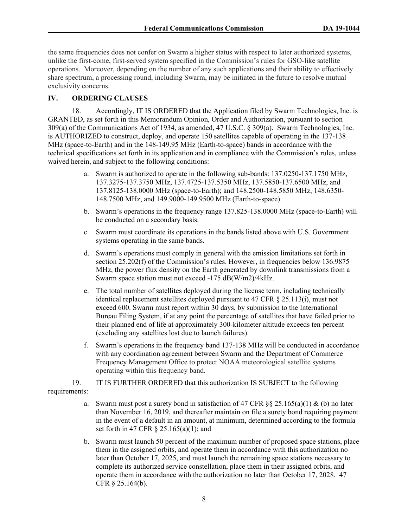the same frequencies does not confer on Swarm a higher status with respect to later authorized systems, unlike the first-come, first-served system specified in the Commission's rules for GSO-like satellite operations. Moreover, depending on the number of any such applications and their ability to effectively share spectrum, a processing round, including Swarm, may be initiated in the future to resolve mutual exclusivity concerns.

# **IV. ORDERING CLAUSES**

18. Accordingly, IT IS ORDERED that the Application filed by Swarm Technologies, Inc. is GRANTED, as set forth in this Memorandum Opinion, Order and Authorization, pursuant to section 309(a) of the Communications Act of 1934, as amended, 47 U.S.C. § 309(a). Swarm Technologies, Inc. is AUTHORIZED to construct, deploy, and operate 150 satellites capable of operating in the 137-138 MHz (space-to-Earth) and in the 148-149.95 MHz (Earth-to-space) bands in accordance with the technical specifications set forth in its application and in compliance with the Commission's rules, unless waived herein, and subject to the following conditions:

- a. Swarm is authorized to operate in the following sub-bands: 137.0250-137.1750 MHz, 137.3275-137.3750 MHz, 137.4725-137.5350 MHz, 137.5850-137.6500 MHz, and 137.8125-138.0000 MHz (space-to-Earth); and 148.2500-148.5850 MHz, 148.6350- 148.7500 MHz, and 149.9000-149.9500 MHz (Earth-to-space).
- b. Swarm's operations in the frequency range 137.825-138.0000 MHz (space-to-Earth) will be conducted on a secondary basis.
- c. Swarm must coordinate its operations in the bands listed above with U.S. Government systems operating in the same bands.
- d. Swarm's operations must comply in general with the emission limitations set forth in section 25.202(f) of the Commission's rules. However, in frequencies below 136.9875 MHz, the power flux density on the Earth generated by downlink transmissions from a Swarm space station must not exceed -175 dB(W/m2)/4kHz.
- e. The total number of satellites deployed during the license term, including technically identical replacement satellites deployed pursuant to 47 CFR § 25.113(i), must not exceed 600. Swarm must report within 30 days, by submission to the International Bureau Filing System, if at any point the percentage of satellites that have failed prior to their planned end of life at approximately 300-kilometer altitude exceeds ten percent (excluding any satellites lost due to launch failures).
- f. Swarm's operations in the frequency band 137-138 MHz will be conducted in accordance with any coordination agreement between Swarm and the Department of Commerce Frequency Management Office to protect NOAA meteorological satellite systems operating within this frequency band.

19. IT IS FURTHER ORDERED that this authorization IS SUBJECT to the following requirements:

- a. Swarm must post a surety bond in satisfaction of 47 CFR §§ 25.165(a)(1) & (b) no later than November 16, 2019, and thereafter maintain on file a surety bond requiring payment in the event of a default in an amount, at minimum, determined according to the formula set forth in 47 CFR § 25.165(a)(1); and
- b. Swarm must launch 50 percent of the maximum number of proposed space stations, place them in the assigned orbits, and operate them in accordance with this authorization no later than October 17, 2025, and must launch the remaining space stations necessary to complete its authorized service constellation, place them in their assigned orbits, and operate them in accordance with the authorization no later than October 17, 2028. 47 CFR § 25.164(b).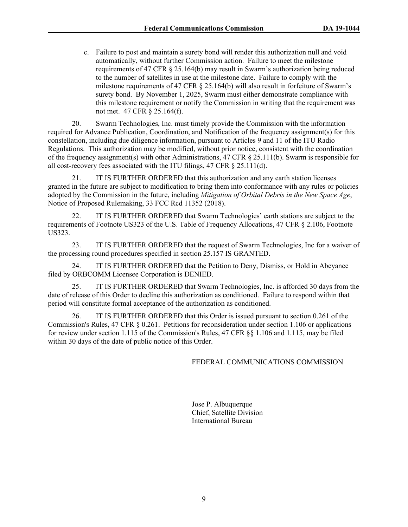c. Failure to post and maintain a surety bond will render this authorization null and void automatically, without further Commission action. Failure to meet the milestone requirements of 47 CFR § 25.164(b) may result in Swarm's authorization being reduced to the number of satellites in use at the milestone date. Failure to comply with the milestone requirements of 47 CFR § 25.164(b) will also result in forfeiture of Swarm's surety bond. By November 1, 2025, Swarm must either demonstrate compliance with this milestone requirement or notify the Commission in writing that the requirement was not met. 47 CFR § 25.164(f).

20. Swarm Technologies, Inc. must timely provide the Commission with the information required for Advance Publication, Coordination, and Notification of the frequency assignment(s) for this constellation, including due diligence information, pursuant to Articles 9 and 11 of the ITU Radio Regulations. This authorization may be modified, without prior notice, consistent with the coordination of the frequency assignment(s) with other Administrations, [47 CFR § 25.111\(b\)](https://1.next.westlaw.com/Link/Document/FullText?findType=L&pubNum=1000547&cite=47CFRS25.111&originatingDoc=I77a75087765d11e9bbbcd57aa014637b&refType=RB&originationContext=document&transitionType=DocumentItem&contextData=(sc.Search)#co_pp_a83b000018c76). Swarm is responsible for all cost-recovery fees associated with the ITU filings, [47 CFR § 25.111\(d\).](https://1.next.westlaw.com/Link/Document/FullText?findType=L&pubNum=1000547&cite=47CFRS25.111&originatingDoc=I77a75087765d11e9bbbcd57aa014637b&refType=RB&originationContext=document&transitionType=DocumentItem&contextData=(sc.Search)#co_pp_5ba1000067d06)

21. IT IS FURTHER ORDERED that this authorization and any earth station licenses granted in the future are subject to modification to bring them into conformance with any rules or policies adopted by the Commission in the future, including *[Mitigation of Orbital Debris in the New Space Age](https://1.next.westlaw.com/Link/Document/FullText?findType=Y&serNum=2046066375&pubNum=0004493&originatingDoc=Ic12e37ecb8f511e9b8aeecdeb6661cf4&refType=CA&originationContext=document&transitionType=DocumentItem&contextData=(sc.Search))*, [Notice of Proposed Rulemaking, 33 FCC Rcd 11352 \(2018\)](https://1.next.westlaw.com/Link/Document/FullText?findType=Y&serNum=2046066375&pubNum=0004493&originatingDoc=Ic12e37ecb8f511e9b8aeecdeb6661cf4&refType=CA&originationContext=document&transitionType=DocumentItem&contextData=(sc.Search)).

22. IT IS FURTHER ORDERED that Swarm Technologies' earth stations are subject to the requirements of Footnote US323 of the U.S. Table of Frequency Allocations, 47 CFR § 2.106, Footnote US323.

23. IT IS FURTHER ORDERED that the request of Swarm Technologies, Inc for a waiver of the processing round procedures specified in section 25.157 IS GRANTED.

24. IT IS FURTHER ORDERED that the Petition to Deny, Dismiss, or Hold in Abeyance filed by ORBCOMM Licensee Corporation is DENIED.

25. IT IS FURTHER ORDERED that Swarm Technologies, Inc. is afforded 30 days from the date of release of this Order to decline this authorization as conditioned. Failure to respond within that period will constitute formal acceptance of the authorization as conditioned.

26. IT IS FURTHER ORDERED that this Order is issued pursuant to section 0.261 of the Commission's Rules, [47 CFR § 0.261](https://1.next.westlaw.com/Link/Document/FullText?findType=L&pubNum=1000547&cite=47CFRS0.261&originatingDoc=Ib64f5c852bde11dbbb4d83d7c3c3a165&refType=LQ&originationContext=document&transitionType=DocumentItem&contextData=(sc.Search)). Petitions for reconsideration under section 1.106 or applications for review under section 1.115 of the Commission's Rules, [47 CFR §§ 1.106](https://1.next.westlaw.com/Link/Document/FullText?findType=L&pubNum=1000547&cite=47CFRS1.106&originatingDoc=Ib64f5c852bde11dbbb4d83d7c3c3a165&refType=LQ&originationContext=document&transitionType=DocumentItem&contextData=(sc.Search)) and [1.115,](https://1.next.westlaw.com/Link/Document/FullText?findType=L&pubNum=1000547&cite=47CFRS1.115&originatingDoc=Ib64f5c852bde11dbbb4d83d7c3c3a165&refType=LQ&originationContext=document&transitionType=DocumentItem&contextData=(sc.Search)) may be filed within 30 days of the date of public notice of this Order.

#### FEDERAL COMMUNICATIONS COMMISSION

Jose P. Albuquerque Chief, Satellite Division International Bureau